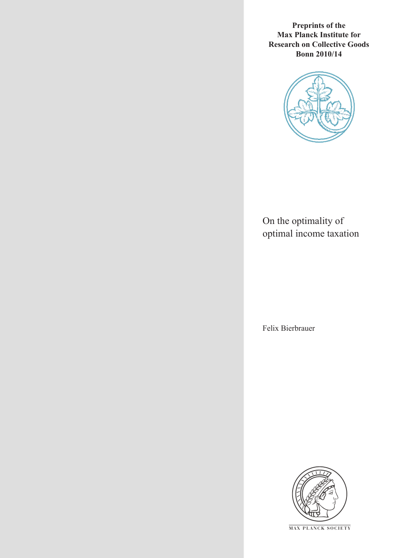**Preprints of the Max Planck Institute for Research on Collective Goods Bonn 2010/14**



On the optimality of optimal income taxation

Felix Bierbrauer



**M AX P L A N C K S O C I E T Y**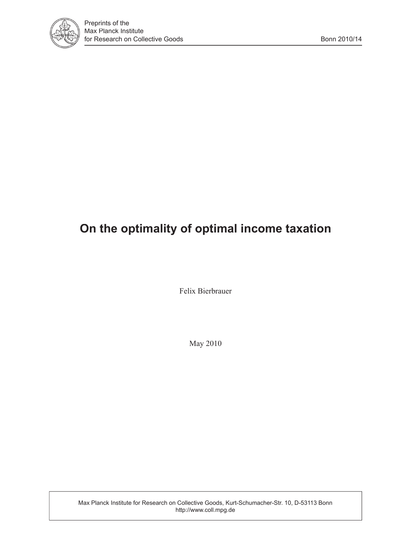

# **On the optimality of optimal income taxation**

Felix Bierbrauer

May 2010

Max Planck Institute for Research on Collective Goods, Kurt-Schumacher-Str. 10, D-53113 Bonn http://www.coll.mpg.de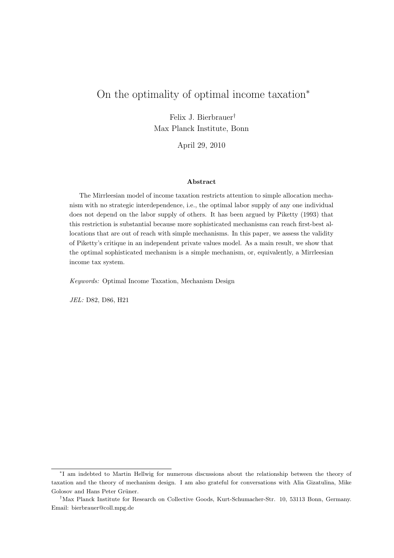## On the optimality of optimal income taxation<sup>∗</sup>

Felix J. Bierbrauer† Max Planck Institute, Bonn

April 29, 2010

#### Abstract

The Mirrleesian model of income taxation restricts attention to simple allocation mechanism with no strategic interdependence, i.e., the optimal labor supply of any one individual does not depend on the labor supply of others. It has been argued by Piketty (1993) that this restriction is substantial because more sophisticated mechanisms can reach first-best allocations that are out of reach with simple mechanisms. In this paper, we assess the validity of Piketty's critique in an independent private values model. As a main result, we show that the optimal sophisticated mechanism is a simple mechanism, or, equivalently, a Mirrleesian income tax system.

Keywords: Optimal Income Taxation, Mechanism Design

JEL: D82, D86, H21

<sup>∗</sup> I am indebted to Martin Hellwig for numerous discussions about the relationship between the theory of taxation and the theory of mechanism design. I am also grateful for conversations with Alia Gizatulina, Mike Golosov and Hans Peter Grüner.

<sup>†</sup>Max Planck Institute for Research on Collective Goods, Kurt-Schumacher-Str. 10, 53113 Bonn, Germany. Email: bierbrauer@coll.mpg.de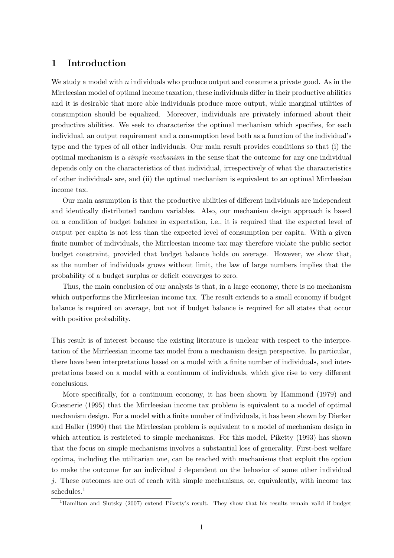## 1 Introduction

We study a model with  $n$  individuals who produce output and consume a private good. As in the Mirrleesian model of optimal income taxation, these individuals differ in their productive abilities and it is desirable that more able individuals produce more output, while marginal utilities of consumption should be equalized. Moreover, individuals are privately informed about their productive abilities. We seek to characterize the optimal mechanism which specifies, for each individual, an output requirement and a consumption level both as a function of the individual's type and the types of all other individuals. Our main result provides conditions so that (i) the optimal mechanism is a simple mechanism in the sense that the outcome for any one individual depends only on the characteristics of that individual, irrespectively of what the characteristics of other individuals are, and (ii) the optimal mechanism is equivalent to an optimal Mirrleesian income tax.

Our main assumption is that the productive abilities of different individuals are independent and identically distributed random variables. Also, our mechanism design approach is based on a condition of budget balance in expectation, i.e., it is required that the expected level of output per capita is not less than the expected level of consumption per capita. With a given finite number of individuals, the Mirrleesian income tax may therefore violate the public sector budget constraint, provided that budget balance holds on average. However, we show that, as the number of individuals grows without limit, the law of large numbers implies that the probability of a budget surplus or deficit converges to zero.

Thus, the main conclusion of our analysis is that, in a large economy, there is no mechanism which outperforms the Mirrleesian income tax. The result extends to a small economy if budget balance is required on average, but not if budget balance is required for all states that occur with positive probability.

This result is of interest because the existing literature is unclear with respect to the interpretation of the Mirrleesian income tax model from a mechanism design perspective. In particular, there have been interpretations based on a model with a finite number of individuals, and interpretations based on a model with a continuum of individuals, which give rise to very different conclusions.

More specifically, for a continuum economy, it has been shown by Hammond (1979) and Guesnerie (1995) that the Mirrleesian income tax problem is equivalent to a model of optimal mechanism design. For a model with a finite number of individuals, it has been shown by Dierker and Haller (1990) that the Mirrleesian problem is equivalent to a model of mechanism design in which attention is restricted to simple mechanisms. For this model, Piketty (1993) has shown that the focus on simple mechanisms involves a substantial loss of generality. First-best welfare optima, including the utilitarian one, can be reached with mechanisms that exploit the option to make the outcome for an individual i dependent on the behavior of some other individual  $j$ . These outcomes are out of reach with simple mechanisms, or, equivalently, with income tax schedules.<sup>1</sup>

<sup>&</sup>lt;sup>1</sup>Hamilton and Slutsky (2007) extend Piketty's result. They show that his results remain valid if budget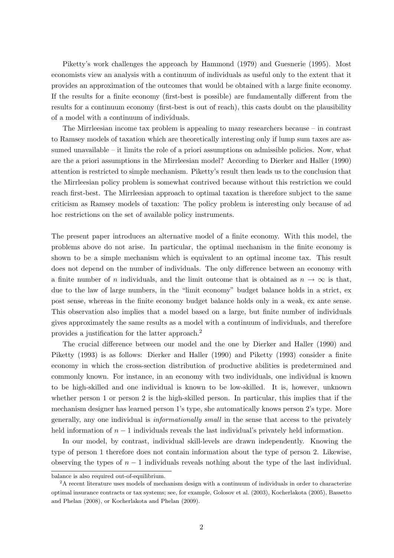Piketty's work challenges the approach by Hammond (1979) and Guesnerie (1995). Most economists view an analysis with a continuum of individuals as useful only to the extent that it provides an approximation of the outcomes that would be obtained with a large finite economy. If the results for a finite economy (first-best is possible) are fundamentally different from the results for a continuum economy (first-best is out of reach), this casts doubt on the plausibility of a model with a continuum of individuals.

The Mirrleesian income tax problem is appealing to many researchers because – in contrast to Ramsey models of taxation which are theoretically interesting only if lump sum taxes are assumed unavailable – it limits the role of a priori assumptions on admissible policies. Now, what are the a priori assumptions in the Mirrleesian model? According to Dierker and Haller (1990) attention is restricted to simple mechanism. Piketty's result then leads us to the conclusion that the Mirrleesian policy problem is somewhat contrived because without this restriction we could reach first-best. The Mirrleesian approach to optimal taxation is therefore subject to the same criticism as Ramsey models of taxation: The policy problem is interesting only because of ad hoc restrictions on the set of available policy instruments.

The present paper introduces an alternative model of a finite economy. With this model, the problems above do not arise. In particular, the optimal mechanism in the finite economy is shown to be a simple mechanism which is equivalent to an optimal income tax. This result does not depend on the number of individuals. The only difference between an economy with a finite number of n individuals, and the limit outcome that is obtained as  $n \to \infty$  is that, due to the law of large numbers, in the "limit economy" budget balance holds in a strict, ex post sense, whereas in the finite economy budget balance holds only in a weak, ex ante sense. This observation also implies that a model based on a large, but finite number of individuals gives approximately the same results as a model with a continuum of individuals, and therefore provides a justification for the latter approach.<sup>2</sup>

The crucial difference between our model and the one by Dierker and Haller (1990) and Piketty (1993) is as follows: Dierker and Haller (1990) and Piketty (1993) consider a finite economy in which the cross-section distribution of productive abilities is predetermined and commonly known. For instance, in an economy with two individuals, one individual is known to be high-skilled and one individual is known to be low-skilled. It is, however, unknown whether person 1 or person 2 is the high-skilled person. In particular, this implies that if the mechanism designer has learned person 1's type, she automatically knows person 2's type. More generally, any one individual is informationally small in the sense that access to the privately held information of  $n-1$  individuals reveals the last individual's privately held information.

In our model, by contrast, individual skill-levels are drawn independently. Knowing the type of person 1 therefore does not contain information about the type of person 2. Likewise, observing the types of  $n - 1$  individuals reveals nothing about the type of the last individual.

balance is also required out-of-equilibrium.

<sup>&</sup>lt;sup>2</sup>A recent literature uses models of mechanism design with a continuum of individuals in order to characterize optimal insurance contracts or tax systems; see, for example, Golosov et al. (2003), Kocherlakota (2005), Bassetto and Phelan (2008), or Kocherlakota and Phelan (2009).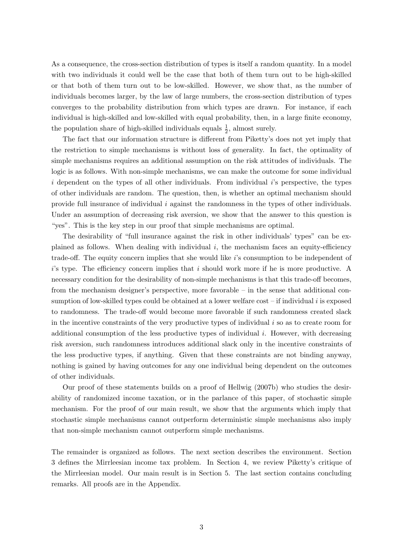As a consequence, the cross-section distribution of types is itself a random quantity. In a model with two individuals it could well be the case that both of them turn out to be high-skilled or that both of them turn out to be low-skilled. However, we show that, as the number of individuals becomes larger, by the law of large numbers, the cross-section distribution of types converges to the probability distribution from which types are drawn. For instance, if each individual is high-skilled and low-skilled with equal probability, then, in a large finite economy, the population share of high-skilled individuals equals  $\frac{1}{2}$ , almost surely.

The fact that our information structure is different from Piketty's does not yet imply that the restriction to simple mechanisms is without loss of generality. In fact, the optimality of simple mechanisms requires an additional assumption on the risk attitudes of individuals. The logic is as follows. With non-simple mechanisms, we can make the outcome for some individual  $i$  dependent on the types of all other individuals. From individual  $i$ 's perspective, the types of other individuals are random. The question, then, is whether an optimal mechanism should provide full insurance of individual i against the randomness in the types of other individuals. Under an assumption of decreasing risk aversion, we show that the answer to this question is "yes". This is the key step in our proof that simple mechanisms are optimal.

The desirability of "full insurance against the risk in other individuals' types" can be explained as follows. When dealing with individual  $i$ , the mechanism faces an equity-efficiency trade-off. The equity concern implies that she would like i's consumption to be independent of  $i$ 's type. The efficiency concern implies that i should work more if he is more productive. A necessary condition for the desirability of non-simple mechanisms is that this trade-off becomes, from the mechanism designer's perspective, more favorable – in the sense that additional consumption of low-skilled types could be obtained at a lower welfare  $\cos t - i f$  individual i is exposed to randomness. The trade-off would become more favorable if such randomness created slack in the incentive constraints of the very productive types of individual  $i$  so as to create room for additional consumption of the less productive types of individual  $i$ . However, with decreasing risk aversion, such randomness introduces additional slack only in the incentive constraints of the less productive types, if anything. Given that these constraints are not binding anyway, nothing is gained by having outcomes for any one individual being dependent on the outcomes of other individuals.

Our proof of these statements builds on a proof of Hellwig (2007b) who studies the desirability of randomized income taxation, or in the parlance of this paper, of stochastic simple mechanism. For the proof of our main result, we show that the arguments which imply that stochastic simple mechanisms cannot outperform deterministic simple mechanisms also imply that non-simple mechanism cannot outperform simple mechanisms.

The remainder is organized as follows. The next section describes the environment. Section 3 defines the Mirrleesian income tax problem. In Section 4, we review Piketty's critique of the Mirrleesian model. Our main result is in Section 5. The last section contains concluding remarks. All proofs are in the Appendix.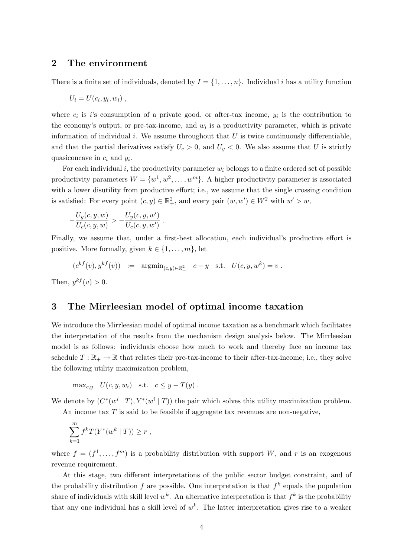## 2 The environment

There is a finite set of individuals, denoted by  $I = \{1, \ldots, n\}$ . Individual i has a utility function

$$
U_i = U(c_i, y_i, w_i) ,
$$

where  $c_i$  is i's consumption of a private good, or after-tax income,  $y_i$  is the contribution to the economy's output, or pre-tax-income, and  $w_i$  is a productivity parameter, which is private information of individual i. We assume throughout that  $U$  is twice continuously differentiable, and that the partial derivatives satisfy  $U_c > 0$ , and  $U_y < 0$ . We also assume that U is strictly quasiconcave in  $c_i$  and  $y_i$ .

For each individual i, the productivity parameter  $w_i$  belongs to a finite ordered set of possible productivity parameters  $W = \{w^1, w^2, \ldots, w^m\}$ . A higher productivity parameter is associated with a lower disutility from productive effort; i.e., we assume that the single crossing condition is satisfied: For every point  $(c, y) \in \mathbb{R}^2_+$ , and every pair  $(w, w') \in W^2$  with  $w' > w$ ,

$$
-\frac{U_y(c, y, w)}{U_c(c, y, w)} > -\frac{U_y(c, y, w')}{U_c(c, y, w')}.
$$

Finally, we assume that, under a first-best allocation, each individual's productive effort is positive. More formally, given  $k \in \{1, \ldots, m\}$ , let

 $(c^{kf}(v), y^{kf}(v))$  :=  $\operatorname{argmin}_{(c,y)\in\mathbb{R}^2_+}$   $c-y$  s.t.  $U(c, y, w^k) = v$ . Then,  $y^{kf}(v) > 0$ .

## 3 The Mirrleesian model of optimal income taxation

We introduce the Mirrleesian model of optimal income taxation as a benchmark which facilitates the interpretation of the results from the mechanism design analysis below. The Mirrleesian model is as follows: individuals choose how much to work and thereby face an income tax schedule  $T : \mathbb{R}_+ \to \mathbb{R}$  that relates their pre-tax-income to their after-tax-income; i.e., they solve the following utility maximization problem,

max<sub>c,y</sub>  $U(c, y, w_i)$  s.t.  $c \leq y - T(y)$ .

We denote by  $(C^*(w^i | T), Y^*(w^i | T))$  the pair which solves this utility maximization problem. An income tax  $T$  is said to be feasible if aggregate tax revenues are non-negative,

$$
\sum_{k=1}^{m} f^{k} T(Y^{*}(w^{k} | T)) \geq r ,
$$

where  $f = (f^1, \ldots, f^m)$  is a probability distribution with support W, and r is an exogenous revenue requirement.

At this stage, two different interpretations of the public sector budget constraint, and of the probability distribution f are possible. One interpretation is that  $f^k$  equals the population share of individuals with skill level  $w^k$ . An alternative interpretation is that  $f^k$  is the probability that any one individual has a skill level of  $w<sup>k</sup>$ . The latter interpretation gives rise to a weaker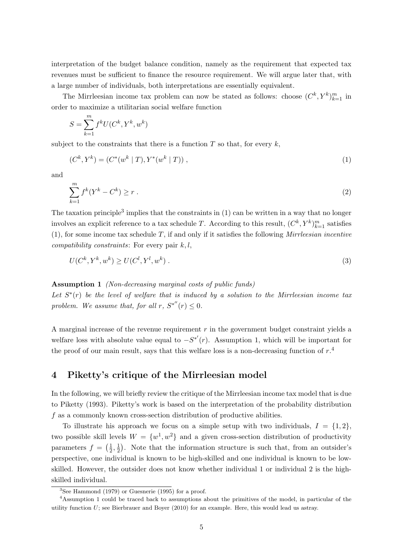interpretation of the budget balance condition, namely as the requirement that expected tax revenues must be sufficient to finance the resource requirement. We will argue later that, with a large number of individuals, both interpretations are essentially equivalent.

The Mirrleesian income tax problem can now be stated as follows: choose  $(C^k, Y^k)_{k=1}^m$  in order to maximize a utilitarian social welfare function

$$
S = \sum_{k=1}^{m} f^k U(C^k, Y^k, w^k)
$$

subject to the constraints that there is a function  $T$  so that, for every  $k$ ,

$$
(C^k, Y^k) = (C^*(w^k | T), Y^*(w^k | T)), \qquad (1)
$$

and

$$
\sum_{k=1}^{m} f^{k}(Y^{k} - C^{k}) \ge r . \tag{2}
$$

The taxation principle<sup>3</sup> implies that the constraints in  $(1)$  can be written in a way that no longer involves an explicit reference to a tax schedule T. According to this result,  $(C^k, Y^k)_{k=1}^m$  satisfies  $(1)$ , for some income tax schedule T, if and only if it satisfies the following *Mirrleesian incentive* compatibility constraints: For every pair  $k, l$ ,

$$
U(C^k, Y^k, w^k) \ge U(C^l, Y^l, w^k). \tag{3}
$$

#### Assumption 1 (Non-decreasing marginal costs of public funds)

Let  $S^*(r)$  be the level of welfare that is induced by a solution to the Mirrleesian income tax problem. We assume that, for all r,  $S^{*}$ <sup>"</sup> $(r) \leq 0$ .

A marginal increase of the revenue requirement  $r$  in the government budget constraint yields a welfare loss with absolute value equal to  $-S^{*'}(r)$ . Assumption 1, which will be important for the proof of our main result, says that this welfare loss is a non-decreasing function of  $r^4$ .

## 4 Piketty's critique of the Mirrleesian model

In the following, we will briefly review the critique of the Mirrleesian income tax model that is due to Piketty (1993). Piketty's work is based on the interpretation of the probability distribution f as a commonly known cross-section distribution of productive abilities.

To illustrate his approach we focus on a simple setup with two individuals,  $I = \{1, 2\}$ , two possible skill levels  $W = \{w^1, w^2\}$  and a given cross-section distribution of productivity parameters  $f = \left(\frac{1}{2}\right)$  $\frac{1}{2}, \frac{1}{2}$  $\frac{1}{2}$ ). Note that the information structure is such that, from an outsider's perspective, one individual is known to be high-skilled and one individual is known to be lowskilled. However, the outsider does not know whether individual 1 or individual 2 is the highskilled individual.

 $3$ See Hammond (1979) or Guesnerie (1995) for a proof.

<sup>4</sup>Assumption 1 could be traced back to assumptions about the primitives of the model, in particular of the utility function  $U$ ; see Bierbrauer and Boyer (2010) for an example. Here, this would lead us astray.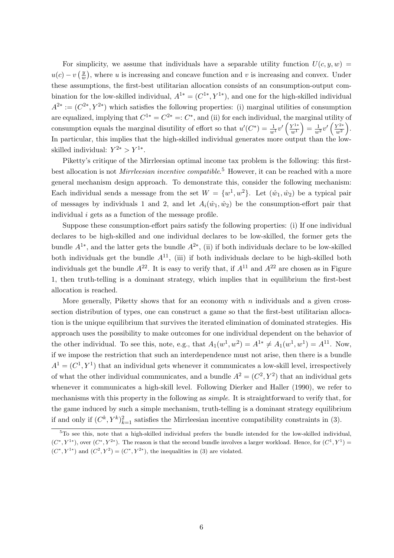For simplicity, we assume that individuals have a separable utility function  $U(c, y, w) =$  $u(c) - v\left(\frac{y}{y}\right)$  $\frac{y}{w}$ , where u is increasing and concave function and v is increasing and convex. Under these assumptions, the first-best utilitarian allocation consists of an consumption-output combination for the low-skilled individual,  $A^{1*} = (C^{1*}, Y^{1*})$ , and one for the high-skilled individual  $A^{2*} := (C^{2*}, Y^{2*})$  which satisfies the following properties: (i) marginal utilities of consumption are equalized, implying that  $C^{1*} = C^{2*} =: C^*$ , and (ii) for each individual, the marginal utility of consumption equals the marginal disutility of effort so that  $u'(C^*) = \frac{1}{w^1}v'\left(\frac{Y^{1*}}{w^1}\right)$  $\left(\frac{Y^{1*}}{w^1}\right) = \frac{1}{w^2}v'\left(\frac{Y^{2*}}{w^2}\right)$  $\left(\frac{Y^{2*}}{w^2}\right).$ In particular, this implies that the high-skilled individual generates more output than the lowskilled individual:  $Y^{2*} > Y^{1*}$ .

Piketty's critique of the Mirrleesian optimal income tax problem is the following: this firstbest allocation is not *Mirrleesian incentive compatible*.<sup>5</sup> However, it can be reached with a more general mechanism design approach. To demonstrate this, consider the following mechanism: Each individual sends a message from the set  $W = \{w^1, w^2\}$ . Let  $(\hat{w}_1, \hat{w}_2)$  be a typical pair of messages by individuals 1 and 2, and let  $A_i(\hat{w}_1, \hat{w}_2)$  be the consumption-effort pair that individual i gets as a function of the message profile.

Suppose these consumption-effort pairs satisfy the following properties: (i) If one individual declares to be high-skilled and one individual declares to be low-skilled, the former gets the bundle  $A^{1*}$ , and the latter gets the bundle  $A^{2*}$ , (ii) if both individuals declare to be low-skilled both individuals get the bundle  $A^{11}$ , (iii) if both individuals declare to be high-skilled both individuals get the bundle  $A^{22}$ . It is easy to verify that, if  $A^{11}$  and  $A^{22}$  are chosen as in Figure 1, then truth-telling is a dominant strategy, which implies that in equilibrium the first-best allocation is reached.

More generally, Piketty shows that for an economy with  $n$  individuals and a given crosssection distribution of types, one can construct a game so that the first-best utilitarian allocation is the unique equilibrium that survives the iterated elimination of dominated strategies. His approach uses the possibility to make outcomes for one individual dependent on the behavior of the other individual. To see this, note, e.g., that  $A_1(w^1, w^2) = A^{1*} \neq A_1(w^1, w^1) = A^{11}$ . Now, if we impose the restriction that such an interdependence must not arise, then there is a bundle  $A<sup>1</sup> = (C<sup>1</sup>, Y<sup>1</sup>)$  that an individual gets whenever it communicates a low-skill level, irrespectively of what the other individual communicates, and a bundle  $A^2 = (C^2, Y^2)$  that an individual gets whenever it communicates a high-skill level. Following Dierker and Haller (1990), we refer to mechanisms with this property in the following as *simple*. It is straightforward to verify that, for the game induced by such a simple mechanism, truth-telling is a dominant strategy equilibrium if and only if  $(C^k, Y^k)_{k=1}^2$  satisfies the Mirrleesian incentive compatibility constraints in (3).

<sup>&</sup>lt;sup>5</sup>To see this, note that a high-skilled individual prefers the bundle intended for the low-skilled individual,  $(C^*, Y^{1*})$ , over  $(C^*, Y^{2*})$ . The reason is that the second bundle involves a larger workload. Hence, for  $(C^1, Y^1)$  $(C^*, Y^{1*})$  and  $(C^2, Y^2) = (C^*, Y^{2*})$ , the inequalities in (3) are violated.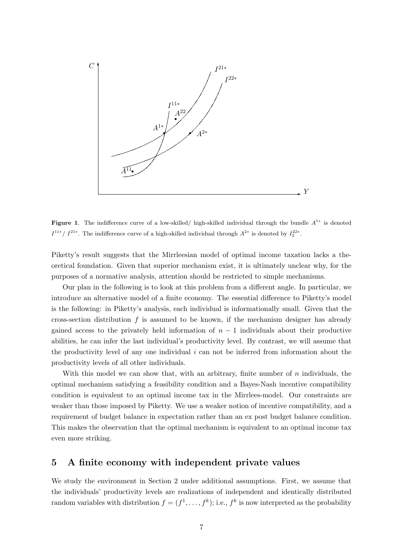

Figure 1. The indifference curve of a low-skilled/ high-skilled individual through the bundle  $A^{1*}$  is denoted  $I^{11*}/I^{21*}$ . The indifference curve of a high-skilled individual through  $A^{2*}$  is denoted by  $I_2^{22*}$ .

Piketty's result suggests that the Mirrleesian model of optimal income taxation lacks a theoretical foundation. Given that superior mechanism exist, it is ultimately unclear why, for the purposes of a normative analysis, attention should be restricted to simple mechanisms.

Our plan in the following is to look at this problem from a different angle. In particular, we introduce an alternative model of a finite economy. The essential difference to Piketty's model is the following: in Piketty's analysis, each individual is informationally small. Given that the cross-section distribution  $f$  is assumed to be known, if the mechanism designer has already gained access to the privately held information of  $n-1$  individuals about their productive abilities, he can infer the last individual's productivity level. By contrast, we will assume that the productivity level of any one individual  $i$  can not be inferred from information about the productivity levels of all other individuals.

With this model we can show that, with an arbitrary, finite number of  $n$  individuals, the optimal mechanism satisfying a feasibility condition and a Bayes-Nash incentive compatibility condition is equivalent to an optimal income tax in the Mirrlees-model. Our constraints are weaker than those imposed by Piketty. We use a weaker notion of incentive compatibility, and a requirement of budget balance in expectation rather than an ex post budget balance condition. This makes the observation that the optimal mechanism is equivalent to an optimal income tax even more striking.

## 5 A finite economy with independent private values

We study the environment in Section 2 under additional assumptions. First, we assume that the individuals' productivity levels are realizations of independent and identically distributed random variables with distribution  $f = (f^1, \ldots, f^k)$ ; i.e.,  $f^k$  is now interpreted as the probability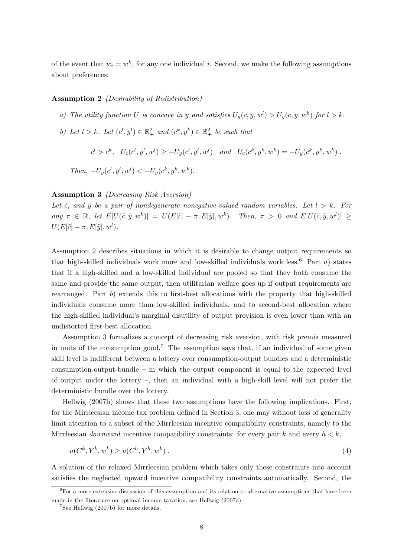of the event that  $w_i = w^k$ , for any one individual i. Second, we make the following assumptions about preferences:

#### Assumption 2 (Desirability of Redistribution)

- a) The utility function U is concave in y and satisfies  $U_y(c, y, w^l) > U_y(c, y, w^k)$  for  $l > k$ .
- b) Let  $l > k$ . Let  $(c^l, y^l) \in \mathbb{R}_+^2$  and  $(c^k, y^k) \in \mathbb{R}_+^2$  be such that

$$
c^l > c^k, \quad U_c(c^l, y^l, w^l) \ge -U_y(c^l, y^l, w^l) \quad and \quad U_c(c^k, y^k, w^k) = -U_y(c^k, y^k, w^k).
$$
  
Then,  $-U_y(c^l, y^l, w^l) < -U_y(c^k, y^k, w^k).$ 

#### Assumption 3 (Decreasing Risk Aversion)

Let  $\tilde{c}$ , and  $\tilde{y}$  be a pair of nondegenerate nonegative-valued random variables. Let  $l > k$ . For any  $\pi \in \mathbb{R}$ , let  $E[U(\tilde{c}, \tilde{y}, w^k)] = U(E[\tilde{c}] - \pi, E[\tilde{y}], w^k)$ . Then,  $\pi > 0$  and  $E[U(\tilde{c}, \tilde{y}, w^l)] \ge$  $U(E[\tilde{c}] - \pi, E[\tilde{y}], w^l).$ 

Assumption 2 describes situations in which it is desirable to change output requirements so that high-skilled individuals work more and low-skilled individuals work less.<sup>6</sup> Part a) states that if a high-skilled and a low-skilled individual are pooled so that they both consume the same and provide the same output, then utilitarian welfare goes up if output requirements are rearranged. Part b) extends this to first-best allocations with the property that high-skilled individuals consume more than low-skilled individuals, and to second-best allocation where the high-skilled individual's marginal disutility of output provision is even lower than with an undistorted first-best allocation.

Assumption 3 formalizes a concept of decreasing risk aversion, with risk premia measured in units of the consumption good.<sup>7</sup> The assumption says that, if an individual of some given skill level is indifferent between a lottery over consumption-output bundles and a deterministic consumption-output-bundle – in which the output component is equal to the expected level of output under the lottery –, then an individual with a high-skill level will not prefer the deterministic bundle over the lottery.

Hellwig (2007b) shows that these two assumptions have the following implications. First, for the Mirrleesian income tax problem defined in Section 3, one may without loss of generality limit attention to a subset of the Mirrleesian incentive compatibility constraints, namely to the Mirrleesian *downward* incentive compatibility constraints: for every pair k and every  $h < k$ ,

$$
u(C^k, Y^k, w^k) \ge u(C^h, Y^h, w^k).
$$
\n(4)

A solution of the relaxed Mirrleesian problem which takes only these constraints into account satisfies the neglected upward incentive compatibility constraints automatically. Second, the

 ${}^{6}$  For a more extensive discussion of this assumption and its relation to alternative assumptions that have been made in the literature on optimal income taxation, see Hellwig (2007a).

<sup>7</sup>See Hellwig (2007b) for more details.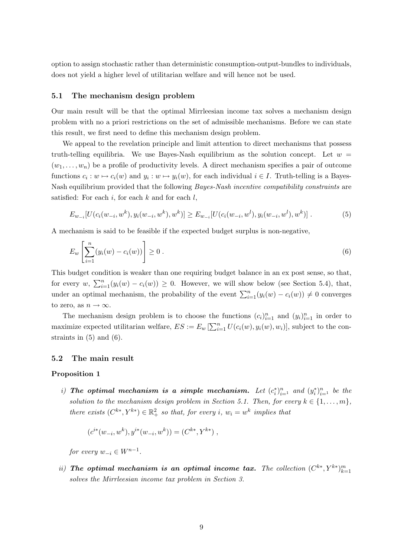option to assign stochastic rather than deterministic consumption-output-bundles to individuals, does not yield a higher level of utilitarian welfare and will hence not be used.

#### 5.1 The mechanism design problem

Our main result will be that the optimal Mirrleesian income tax solves a mechanism design problem with no a priori restrictions on the set of admissible mechanisms. Before we can state this result, we first need to define this mechanism design problem.

We appeal to the revelation principle and limit attention to direct mechanisms that possess truth-telling equilibria. We use Bayes-Nash equilibrium as the solution concept. Let  $w =$  $(w_1, \ldots, w_n)$  be a profile of productivity levels. A direct mechanism specifies a pair of outcome functions  $c_i : w \mapsto c_i(w)$  and  $y_i : w \mapsto y_i(w)$ , for each individual  $i \in I$ . Truth-telling is a Bayes-Nash equilibrium provided that the following *Bayes-Nash incentive compatibility constraints* are satisfied: For each  $i$ , for each  $k$  and for each  $l$ ,

$$
E_{w_{-i}}[U(c_i(w_{-i}, w^k), y_i(w_{-i}, w^k), w^k)] \ge E_{w_{-i}}[U(c_i(w_{-i}, w^l), y_i(w_{-i}, w^l), w^k)].
$$
\n(5)

A mechanism is said to be feasible if the expected budget surplus is non-negative,

$$
E_w \left[ \sum_{i=1}^n (y_i(w) - c_i(w)) \right] \ge 0 \ . \tag{6}
$$

This budget condition is weaker than one requiring budget balance in an ex post sense, so that, for every  $w, \sum_{i=1}^{n} (y_i(w) - c_i(w)) \geq 0$ . However, we will show below (see Section 5.4), that, under an optimal mechanism, the probability of the event  $\sum_{i=1}^{n}(y_i(w) - c_i(w)) \neq 0$  converges to zero, as  $n \to \infty$ .

The mechanism design problem is to choose the functions  $(c_i)_{i=1}^n$  and  $(y_i)_{i=1}^n$  in order to maximize expected utilitarian welfare,  $ES := E_w \left[ \sum_{i=1}^n U(c_i(w), y_i(w), w_i) \right]$ , subject to the constraints in  $(5)$  and  $(6)$ .

#### 5.2 The main result

#### Proposition 1

i) The optimal mechanism is a simple mechanism. Let  $(c_i^*)_{i=1}^n$  and  $(y_i^*)_{i=1}^n$  be the solution to the mechanism design problem in Section 5.1. Then, for every  $k \in \{1, \ldots, m\}$ , there exists  $(C^{k*}, Y^{k*}) \in \mathbb{R}_+^2$  so that, for every i,  $w_i = w^k$  implies that

$$
(c^{i*}(w_{-i}, w^k), y^{i*}(w_{-i}, w^k)) = (C^{k*}, Y^{k*}),
$$

for every  $w_{-i} \in W^{n-1}$ .

ii) The optimal mechanism is an optimal income tax. The collection  $(C^{k*}, Y^{k*})_{k=1}^m$ solves the Mirrleesian income tax problem in Section 3.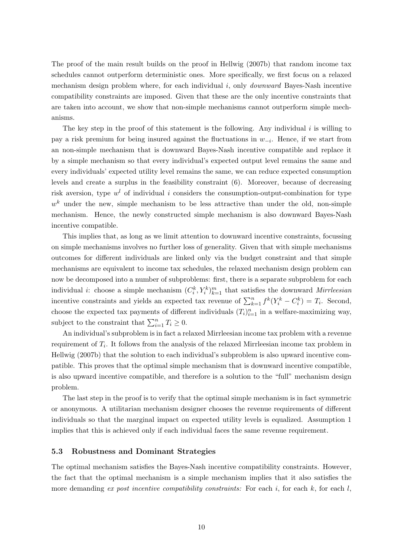The proof of the main result builds on the proof in Hellwig (2007b) that random income tax schedules cannot outperform deterministic ones. More specifically, we first focus on a relaxed mechanism design problem where, for each individual  $i$ , only *downward* Bayes-Nash incentive compatibility constraints are imposed. Given that these are the only incentive constraints that are taken into account, we show that non-simple mechanisms cannot outperform simple mechanisms.

The key step in the proof of this statement is the following. Any individual  $i$  is willing to pay a risk premium for being insured against the fluctuations in  $w_{-i}$ . Hence, if we start from an non-simple mechanism that is downward Bayes-Nash incentive compatible and replace it by a simple mechanism so that every individual's expected output level remains the same and every individuals' expected utility level remains the same, we can reduce expected consumption levels and create a surplus in the feasibility constraint (6). Moreover, because of decreasing risk aversion, type  $w^{l}$  of individual i considers the consumption-output-combination for type  $w<sup>k</sup>$  under the new, simple mechanism to be less attractive than under the old, non-simple mechanism. Hence, the newly constructed simple mechanism is also downward Bayes-Nash incentive compatible.

This implies that, as long as we limit attention to downward incentive constraints, focussing on simple mechanisms involves no further loss of generality. Given that with simple mechanisms outcomes for different individuals are linked only via the budget constraint and that simple mechanisms are equivalent to income tax schedules, the relaxed mechanism design problem can now be decomposed into a number of subproblems: first, there is a separate subproblem for each individual *i*: choose a simple mechanism  $(C_i^k, Y_i^k)_{k=1}^m$  that satisfies the downward *Mirrleesian* incentive constraints and yields an expected tax revenue of  $\sum_{k=1}^{n} f^{k}(Y_{i}^{k} - C_{i}^{k}) = T_{i}$ . Second, choose the expected tax payments of different individuals  $(T_i)_{i=1}^n$  in a welfare-maximizing way, subject to the constraint that  $\sum_{i=1}^{n} T_i \geq 0$ .

An individual's subproblem is in fact a relaxed Mirrleesian income tax problem with a revenue requirement of  $T_i$ . It follows from the analysis of the relaxed Mirrleesian income tax problem in Hellwig (2007b) that the solution to each individual's subproblem is also upward incentive compatible. This proves that the optimal simple mechanism that is downward incentive compatible, is also upward incentive compatible, and therefore is a solution to the "full" mechanism design problem.

The last step in the proof is to verify that the optimal simple mechanism is in fact symmetric or anonymous. A utilitarian mechanism designer chooses the revenue requirements of different individuals so that the marginal impact on expected utility levels is equalized. Assumption 1 implies that this is achieved only if each individual faces the same revenue requirement.

#### 5.3 Robustness and Dominant Strategies

The optimal mechanism satisfies the Bayes-Nash incentive compatibility constraints. However, the fact that the optimal mechanism is a simple mechanism implies that it also satisfies the more demanding ex post incentive compatibility constraints: For each i, for each k, for each  $l$ ,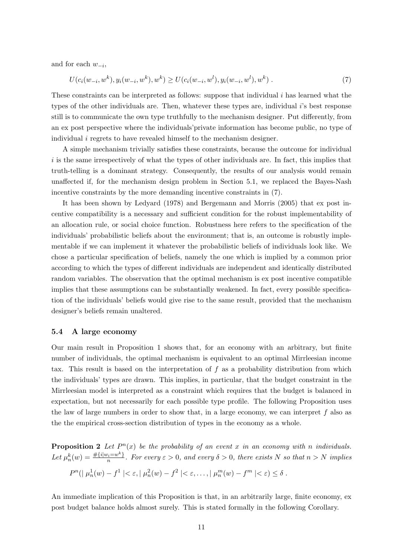and for each  $w_{-i}$ ,

$$
U(c_i(w_{-i}, w^k), y_i(w_{-i}, w^k), w^k) \ge U(c_i(w_{-i}, w^l), y_i(w_{-i}, w^l), w^k).
$$
\n<sup>(7)</sup>

These constraints can be interpreted as follows: suppose that individual i has learned what the types of the other individuals are. Then, whatever these types are, individual  $i$ 's best response still is to communicate the own type truthfully to the mechanism designer. Put differently, from an ex post perspective where the individuals'private information has become public, no type of individual i regrets to have revealed himself to the mechanism designer.

A simple mechanism trivially satisfies these constraints, because the outcome for individual  $i$  is the same irrespectively of what the types of other individuals are. In fact, this implies that truth-telling is a dominant strategy. Consequently, the results of our analysis would remain unaffected if, for the mechanism design problem in Section 5.1, we replaced the Bayes-Nash incentive constraints by the more demanding incentive constraints in (7).

It has been shown by Ledyard (1978) and Bergemann and Morris (2005) that ex post incentive compatibility is a necessary and sufficient condition for the robust implementability of an allocation rule, or social choice function. Robustness here refers to the specification of the individuals' probabilistic beliefs about the environment; that is, an outcome is robustly implementable if we can implement it whatever the probabilistic beliefs of individuals look like. We chose a particular specification of beliefs, namely the one which is implied by a common prior according to which the types of different individuals are independent and identically distributed random variables. The observation that the optimal mechanism is ex post incentive compatible implies that these assumptions can be substantially weakened. In fact, every possible specification of the individuals' beliefs would give rise to the same result, provided that the mechanism designer's beliefs remain unaltered.

#### 5.4 A large economy

Our main result in Proposition 1 shows that, for an economy with an arbitrary, but finite number of individuals, the optimal mechanism is equivalent to an optimal Mirrleesian income tax. This result is based on the interpretation of  $f$  as a probability distribution from which the individuals' types are drawn. This implies, in particular, that the budget constraint in the Mirrleesian model is interpreted as a constraint which requires that the budget is balanced in expectation, but not necessarily for each possible type profile. The following Proposition uses the law of large numbers in order to show that, in a large economy, we can interpret  $f$  also as the the empirical cross-section distribution of types in the economy as a whole.

**Proposition 2** Let  $P^n(x)$  be the probability of an event x in an economy with n individuals. Let  $\mu_n^k(w) = \frac{\#\{i|w_i = w^k\}}{n}$ . For every  $\varepsilon > 0$ , and every  $\delta > 0$ , there exists N so that  $n > N$  implies

$$
P^{n}(|\mu_n^1(w) - f^1| < \varepsilon, |\mu_n^2(w) - f^2| < \varepsilon, \ldots, |\mu_n^m(w) - f^m| < \varepsilon) \le \delta.
$$

An immediate implication of this Proposition is that, in an arbitrarily large, finite economy, ex post budget balance holds almost surely. This is stated formally in the following Corollary.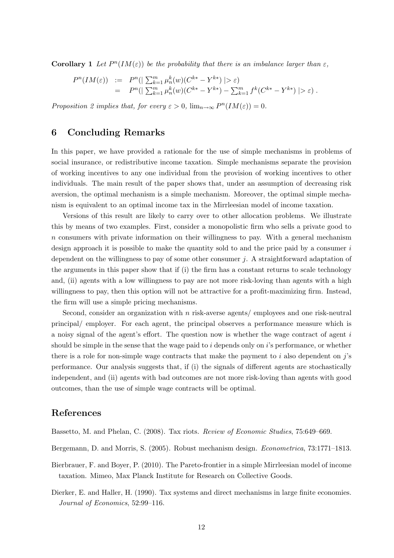**Corollary 1** Let  $P^{n}(IM(\varepsilon))$  be the probability that there is an imbalance larger than  $\varepsilon$ ,

$$
P^{n}(IM(\varepsilon)) := P^{n}(|\sum_{k=1}^{m} \mu_{n}^{k}(w)(C^{k*} - Y^{k*})| > \varepsilon)
$$
  
= 
$$
P^{n}(|\sum_{k=1}^{m} \mu_{n}^{k}(w)(C^{k*} - Y^{k*}) - \sum_{k=1}^{m} f^{k}(C^{k*} - Y^{k*})| > \varepsilon).
$$

Proposition 2 implies that, for every  $\varepsilon > 0$ ,  $\lim_{n \to \infty} P^{n}(IM(\varepsilon)) = 0$ .

## 6 Concluding Remarks

In this paper, we have provided a rationale for the use of simple mechanisms in problems of social insurance, or redistributive income taxation. Simple mechanisms separate the provision of working incentives to any one individual from the provision of working incentives to other individuals. The main result of the paper shows that, under an assumption of decreasing risk aversion, the optimal mechanism is a simple mechanism. Moreover, the optimal simple mechanism is equivalent to an optimal income tax in the Mirrleesian model of income taxation.

Versions of this result are likely to carry over to other allocation problems. We illustrate this by means of two examples. First, consider a monopolistic firm who sells a private good to  $n$  consumers with private information on their willingness to pay. With a general mechanism design approach it is possible to make the quantity sold to and the price paid by a consumer  $i$ dependent on the willingness to pay of some other consumer  $j$ . A straightforward adaptation of the arguments in this paper show that if (i) the firm has a constant returns to scale technology and, (ii) agents with a low willingness to pay are not more risk-loving than agents with a high willingness to pay, then this option will not be attractive for a profit-maximizing firm. Instead, the firm will use a simple pricing mechanisms.

Second, consider an organization with n risk-averse agents/ employees and one risk-neutral principal/ employer. For each agent, the principal observes a performance measure which is a noisy signal of the agent's effort. The question now is whether the wage contract of agent  $i$ should be simple in the sense that the wage paid to  $i$  depends only on  $i$ 's performance, or whether there is a role for non-simple wage contracts that make the payment to  $i$  also dependent on  $j$ 's performance. Our analysis suggests that, if (i) the signals of different agents are stochastically independent, and (ii) agents with bad outcomes are not more risk-loving than agents with good outcomes, than the use of simple wage contracts will be optimal.

## References

Bassetto, M. and Phelan, C. (2008). Tax riots. Review of Economic Studies, 75:649–669.

Bergemann, D. and Morris, S. (2005). Robust mechanism design. Econometrica, 73:1771–1813.

- Bierbrauer, F. and Boyer, P. (2010). The Pareto-frontier in a simple Mirrleesian model of income taxation. Mimeo, Max Planck Institute for Research on Collective Goods.
- Dierker, E. and Haller, H. (1990). Tax systems and direct mechanisms in large finite economies. Journal of Economics, 52:99–116.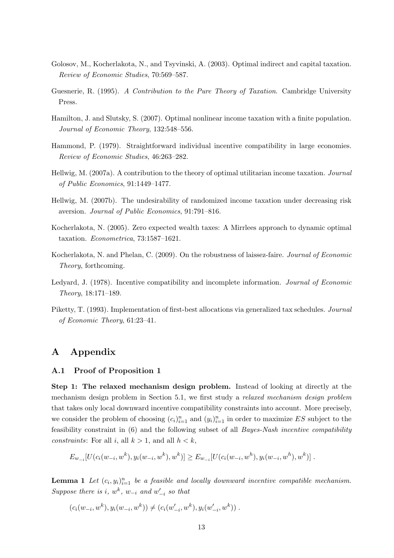- Golosov, M., Kocherlakota, N., and Tsyvinski, A. (2003). Optimal indirect and capital taxation. Review of Economic Studies, 70:569–587.
- Guesnerie, R. (1995). A Contribution to the Pure Theory of Taxation. Cambridge University Press.
- Hamilton, J. and Slutsky, S. (2007). Optimal nonlinear income taxation with a finite population. Journal of Economic Theory, 132:548–556.
- Hammond, P. (1979). Straightforward individual incentive compatibility in large economies. Review of Economic Studies, 46:263–282.
- Hellwig, M. (2007a). A contribution to the theory of optimal utilitarian income taxation. Journal of Public Economics, 91:1449–1477.
- Hellwig, M. (2007b). The undesirability of randomized income taxation under decreasing risk aversion. Journal of Public Economics, 91:791–816.
- Kocherlakota, N. (2005). Zero expected wealth taxes: A Mirrlees approach to dynamic optimal taxation. Econometrica, 73:1587–1621.
- Kocherlakota, N. and Phelan, C. (2009). On the robustness of laissez-faire. Journal of Economic Theory, forthcoming.
- Ledyard, J. (1978). Incentive compatibility and incomplete information. Journal of Economic Theory, 18:171–189.
- Piketty, T. (1993). Implementation of first-best allocations via generalized tax schedules. Journal of Economic Theory, 61:23–41.

## A Appendix

#### A.1 Proof of Proposition 1

Step 1: The relaxed mechanism design problem. Instead of looking at directly at the mechanism design problem in Section 5.1, we first study a relaxed mechanism design problem that takes only local downward incentive compatibility constraints into account. More precisely, we consider the problem of choosing  $(c_i)_{i=1}^n$  and  $(y_i)_{i=1}^n$  in order to maximize ES subject to the feasibility constraint in (6) and the following subset of all Bayes-Nash incentive compatibility constraints: For all i, all  $k > 1$ , and all  $h < k$ ,

$$
E_{w_{-i}}[U(c_i(w_{-i}, w^k), y_i(w_{-i}, w^k), w^k)] \ge E_{w_{-i}}[U(c_i(w_{-i}, w^h), y_i(w_{-i}, w^h), w^k)].
$$

**Lemma 1** Let  $(c_i, y_i)_{i=1}^n$  be a feasible and locally downward incentive compatible mechanism. Suppose there is i,  $w^k$ ,  $w_{-i}$  and  $w'_{-i}$  so that

$$
(c_i(w_{-i}, w^k), y_i(w_{-i}, w^k)) \neq (c_i(w'_{-i}, w^k), y_i(w'_{-i}, w^k)) .
$$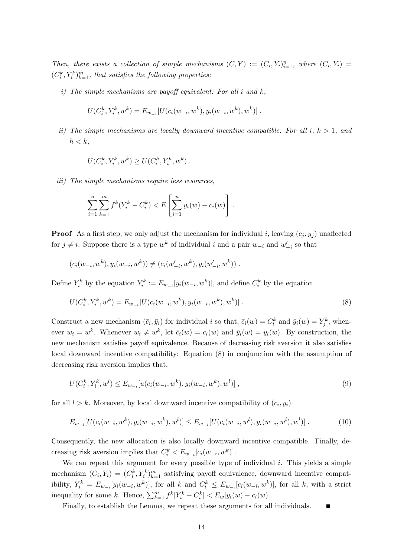Then, there exists a collection of simple mechanisms  $(C, Y) := (C_i, Y_i)_{i=1}^n$ , where  $(C_i, Y_i)$  $(C_i^k, Y_i^k)_{k=1}^m$ , that satisfies the following properties:

i) The simple mechanisms are payoff equivalent: For all  $i$  and  $k$ ,

$$
U(C_i^k, Y_i^k, w^k) = E_{w_{-i}}[U(c_i(w_{-i}, w^k), y_i(w_{-i}, w^k), w^k)].
$$

ii) The simple mechanisms are locally downward incentive compatible: For all i,  $k > 1$ , and  $h < k$ ,

$$
U(C_i^k, Y_i^k, w^k) \ge U(C_i^h, Y_i^h, w^k) .
$$

iii) The simple mechanisms require less resources,

$$
\sum_{i=1}^{n} \sum_{k=1}^{m} f^{k}(Y_{i}^{k} - C_{i}^{k}) < E\left[\sum_{i=1}^{n} y_{i}(w) - c_{i}(w)\right].
$$

**Proof** As a first step, we only adjust the mechanism for individual i, leaving  $(c_j, y_j)$  unaffected for  $j \neq i$ . Suppose there is a type  $w^k$  of individual i and a pair  $w_{-i}$  and  $w'_{-i}$  so that

$$
(c_i(w_{-i}, w^k), y_i(w_{-i}, w^k)) \neq (c_i(w'_{-i}, w^k), y_i(w'_{-i}, w^k))
$$
.

Define  $Y_i^k$  by the equation  $Y_i^k := E_{w_{-i}}[y_i(w_{-i}, w^k)]$ , and define  $C_i^k$  by the equation

$$
U(C_i^k, Y_i^k, w^k) = E_{w_{-i}}[U(c_i(w_{-i}, w^k), y_i(w_{-i}, w^k), w^k)].
$$
\n(8)

Construct a new mechanism  $(\bar{c}_i, \bar{y}_i)$  for individual i so that,  $\bar{c}_i(w) = C_i^k$  and  $\bar{y}_i(w) = Y_j^k$ , whenever  $w_i = w^k$ . Whenever  $w_i \neq w^k$ , let  $\bar{c}_i(w) = c_i(w)$  and  $\bar{y}_i(w) = y_i(w)$ . By construction, the new mechanism satisfies payoff equivalence. Because of decreasing risk aversion it also satisfies local downward incentive compatibility: Equation (8) in conjunction with the assumption of decreasing risk aversion implies that,

$$
U(C_i^k, Y_i^k, w^l) \le E_{w_{-i}}[u(c_i(w_{-i}, w^k), y_i(w_{-i}, w^k), w^l)],
$$
\n(9)

for all  $l > k$ . Moreover, by local downward incentive compatibility of  $(c_i, y_i)$ 

$$
E_{w_{-i}}[U(c_i(w_{-i}, w^k), y_i(w_{-i}, w^k), w^l)] \le E_{w_{-i}}[U(c_i(w_{-i}, w^l), y_i(w_{-i}, w^l), w^l)].
$$
\n(10)

Consequently, the new allocation is also locally downward incentive compatible. Finally, decreasing risk aversion implies that  $C_i^k < E_{w_{-i}}[c_i(w_{-i}, w^k)]$ .

We can repeat this argument for every possible type of individual  $i$ . This yields a simple mechanism  $(C_i, Y_i) = (C_i^k, Y_i^k)_{k=1}^m$  satisfying payoff equivalence, downward incentive compatibility,  $Y_i^k = E_{w_{-i}}[y_i(w_{-i}, w^k)]$ , for all k and  $C_i^k \le E_{w_{-i}}[c_i(w_{-i}, w^k)]$ , for all k, with a strict inequality for some k. Hence,  $\sum_{k=1}^{m} f^k [Y_i^k - C_i^k] < E_w[y_i(w) - c_i(w)]$ .

Finally, to establish the Lemma, we repeat these arguments for all individuals.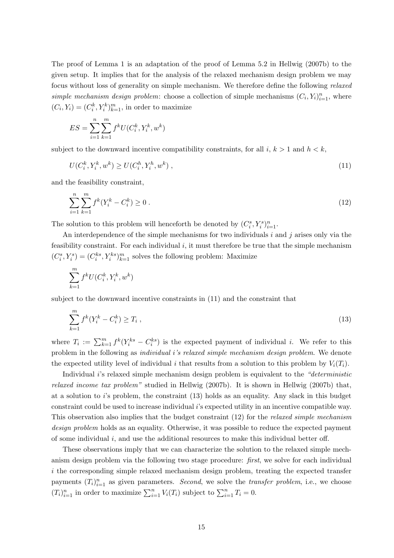The proof of Lemma 1 is an adaptation of the proof of Lemma 5.2 in Hellwig (2007b) to the given setup. It implies that for the analysis of the relaxed mechanism design problem we may focus without loss of generality on simple mechanism. We therefore define the following relaxed simple mechanism design problem: choose a collection of simple mechanisms  $(C_i, Y_i)_{i=1}^n$ , where  $(C_i, Y_i) = (C_i^k, Y_i^k)_{k=1}^m$ , in order to maximize

$$
ES = \sum_{i=1}^{n} \sum_{k=1}^{m} f^{k} U(C_{i}^{k}, Y_{i}^{k}, w^{k})
$$

subject to the downward incentive compatibility constraints, for all  $i, k > 1$  and  $h < k$ ,

$$
U(C_i^k, Y_i^k, w^k) \ge U(C_i^h, Y_i^h, w^k) \tag{11}
$$

and the feasibility constraint,

$$
\sum_{i=1}^{n} \sum_{k=1}^{m} f^{k} (Y_{i}^{k} - C_{i}^{k}) \ge 0.
$$
\n(12)

The solution to this problem will henceforth be denoted by  $(C_i^s, Y_i^s)_{i=1}^n$ .

An interdependence of the simple mechanisms for two individuals  $i$  and  $j$  arises only via the feasibility constraint. For each individual  $i$ , it must therefore be true that the simple mechanism  $(C_i^s, Y_i^s) = (C_i^{ks}, Y_i^{ks})_{k=1}^m$  solves the following problem: Maximize

$$
\sum_{k=1}^m f^k U(C_i^k, Y_i^k, w^k)
$$

subject to the downward incentive constraints in (11) and the constraint that

$$
\sum_{k=1}^{m} f^{k}(Y_{i}^{k} - C_{i}^{k}) \geq T_{i} , \qquad (13)
$$

where  $T_i := \sum_{k=1}^m f^k(Y_i^{ks} - C_i^{ks})$  is the expected payment of individual *i*. We refer to this problem in the following as individual i's relaxed simple mechanism design problem. We denote the expected utility level of individual i that results from a solution to this problem by  $V_i(T_i)$ .

Individual i's relaxed simple mechanism design problem is equivalent to the "deterministic relaxed income tax problem" studied in Hellwig (2007b). It is shown in Hellwig (2007b) that, at a solution to i's problem, the constraint (13) holds as an equality. Any slack in this budget constraint could be used to increase individual i's expected utility in an incentive compatible way. This observation also implies that the budget constraint  $(12)$  for the *relaxed simple mechanism* design problem holds as an equality. Otherwise, it was possible to reduce the expected payment of some individual i, and use the additional resources to make this individual better off.

These observations imply that we can characterize the solution to the relaxed simple mechanism design problem via the following two stage procedure: *first*, we solve for each individual i the corresponding simple relaxed mechanism design problem, treating the expected transfer payments  $(T_i)_{i=1}^n$  as given parameters. Second, we solve the transfer problem, i.e., we choose  $(T_i)_{i=1}^n$  in order to maximize  $\sum_{i=1}^n V_i(T_i)$  subject to  $\sum_{i=1}^n T_i = 0$ .